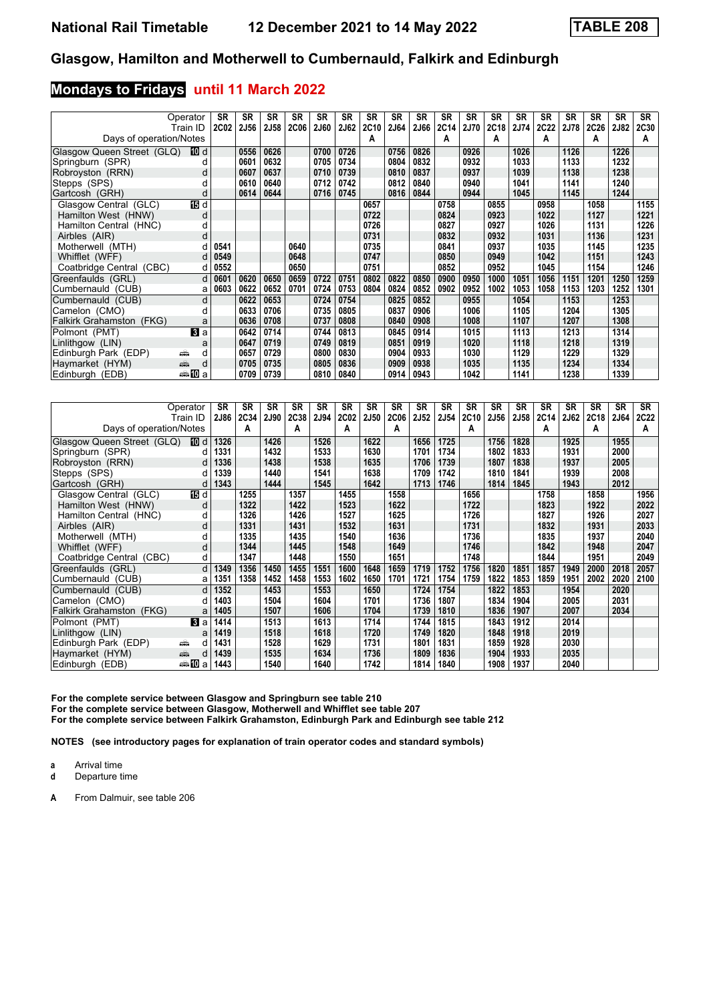#### **Mondays to Fridays until 11 March 2022**

|                            | Operator<br>Train ID | <b>SR</b><br><b>2C02</b> | <b>SR</b><br><b>2J56</b> | <b>SR</b><br><b>2J58</b> | <b>SR</b><br><b>2C06</b> | <b>SR</b><br><b>2J60</b> | <b>SR</b><br>2J62 | <b>SR</b><br>2C10 | <b>SR</b><br>2J64 | <b>SR</b><br>2J66 | <b>SR</b><br>2C14 | <b>SR</b><br><b>2J70</b> | <b>SR</b><br>2C18 | <b>SR</b><br>2J74 | <b>SR</b><br><b>2C22</b> | <b>SR</b><br>2J78 | <b>SR</b><br>2C26 | <b>SR</b><br><b>2J82</b> | <b>SR</b><br><b>2C30</b> |
|----------------------------|----------------------|--------------------------|--------------------------|--------------------------|--------------------------|--------------------------|-------------------|-------------------|-------------------|-------------------|-------------------|--------------------------|-------------------|-------------------|--------------------------|-------------------|-------------------|--------------------------|--------------------------|
| Days of operation/Notes    |                      |                          |                          |                          |                          |                          |                   | A                 |                   |                   | A                 |                          | А                 |                   | А                        |                   | A                 |                          | A                        |
| Glasgow Queen Street (GLQ) | 100 d                |                          | 0556                     | 0626                     |                          | 0700                     | 0726              |                   | 0756              | 0826              |                   | 0926                     |                   | 1026              |                          | 1126              |                   | 1226                     |                          |
| Springburn (SPR)           |                      |                          | 0601                     | 0632                     |                          | 0705                     | 0734              |                   | 0804              | 0832              |                   | 0932                     |                   | 1033              |                          | 1133              |                   | 1232                     |                          |
| Robroyston (RRN)           | d                    |                          | 0607                     | 0637                     |                          | 0710                     | 0739              |                   | 0810              | 0837              |                   | 0937                     |                   | 1039              |                          | 1138              |                   | 1238                     |                          |
| Stepps (SPS)               |                      |                          | 0610                     | 0640                     |                          | 0712                     | 0742              |                   | 0812              | 0840              |                   | 0940                     |                   | 1041              |                          | 1141              |                   | 1240                     |                          |
| Gartcosh (GRH)             | d                    |                          | 0614                     | 0644                     |                          | 0716                     | 0745              |                   | 0816              | 0844              |                   | 0944                     |                   | 1045              |                          | 1145              |                   | 1244                     |                          |
| Glasgow Central (GLC)      | 15 d                 |                          |                          |                          |                          |                          |                   | 0657              |                   |                   | 0758              |                          | 0855              |                   | 0958                     |                   | 1058              |                          | 1155                     |
| Hamilton West (HNW)        | d                    |                          |                          |                          |                          |                          |                   | 0722              |                   |                   | 0824              |                          | 0923              |                   | 1022                     |                   | 1127              |                          | 1221                     |
| Hamilton Central (HNC)     | d                    |                          |                          |                          |                          |                          |                   | 0726              |                   |                   | 0827              |                          | 0927              |                   | 1026                     |                   | 1131              |                          | 1226                     |
| Airbles (AIR)              | d                    |                          |                          |                          |                          |                          |                   | 0731              |                   |                   | 0832              |                          | 0932              |                   | 1031                     |                   | 1136              |                          | 1231                     |
| Motherwell (MTH)           |                      | 0541                     |                          |                          | 0640                     |                          |                   | 0735              |                   |                   | 0841              |                          | 0937              |                   | 1035                     |                   | 1145              |                          | 1235                     |
| Whifflet (WFF)             | d                    | 0549                     |                          |                          | 0648                     |                          |                   | 0747              |                   |                   | 0850              |                          | 0949              |                   | 1042                     |                   | 1151              |                          | 1243                     |
| Coatbridge Central (CBC)   | d                    | 0552                     |                          |                          | 0650                     |                          |                   | 0751              |                   |                   | 0852              |                          | 0952              |                   | 1045                     |                   | 1154              |                          | 1246                     |
| Greenfaulds (GRL)          | d                    | 0601                     | 0620                     | 0650                     | 0659                     | 0722                     | 0751              | 0802              | 0822              | 0850              | 0900              | 0950                     | 1000              | 1051              | 1056                     | 1151              | 1201              | 1250                     | 1259                     |
| Cumbernauld (CUB)          | a                    | 0603                     | 0622                     | 0652                     | 0701                     | 0724                     | 0753              | 0804              | 0824              | 0852              | 0902              | 0952                     | 1002              | 1053              | 1058                     | 1153              | 1203              | 1252                     | 1301                     |
| Cumbernauld (CUB)          | d                    |                          | 0622                     | 0653                     |                          | 0724                     | 0754              |                   | 0825              | 0852              |                   | 0955                     |                   | 1054              |                          | 1153              |                   | 1253                     |                          |
| Camelon (CMO)              | d                    |                          | 0633                     | 0706                     |                          | 0735                     | 0805              |                   | 0837              | 0906              |                   | 1006                     |                   | 1105              |                          | 1204              |                   | 1305                     |                          |
| Falkirk Grahamston (FKG)   | a                    |                          | 0636                     | 0708                     |                          | 0737                     | 0808              |                   | 0840              | 0908              |                   | 1008                     |                   | 1107              |                          | 1207              |                   | 1308                     |                          |
| Polmont (PMT)              | $\mathbf{B}$ a       |                          | 0642                     | 0714                     |                          | 0744                     | 0813              |                   | 0845              | 0914              |                   | 1015                     |                   | 1113              |                          | 1213              |                   | 1314                     |                          |
| Linlithgow (LIN)           | а                    |                          | 0647                     | 0719                     |                          | 0749                     | 0819              |                   | 0851              | 0919              |                   | 1020                     |                   | 1118              |                          | 1218              |                   | 1319                     |                          |
| Edinburgh Park (EDP)       | پیشته<br>d           |                          | 0657                     | 0729                     |                          | 0800                     | 0830              |                   | 0904              | 0933              |                   | 1030                     |                   | 1129              |                          | 1229              |                   | 1329                     |                          |
| Haymarket (HYM)            | ain<br>d             |                          | 0705                     | 0735                     |                          | 0805                     | 0836              |                   | 0909              | 0938              |                   | 1035                     |                   | 1135              |                          | 1234              |                   | 1334                     |                          |
| Edinburgh (EDB)            | anna nDian           |                          | 0709                     | 0739                     |                          | 0810                     | 0840              |                   | 0914              | 0943              |                   | 1042                     |                   | 1141              |                          | 1238              |                   | 1339                     |                          |

|                            | Operator   | <b>SR</b>   | <b>SR</b> | <b>SR</b> | <b>SR</b> | <b>SR</b> | <b>SR</b>   | <b>SR</b>   | <b>SR</b>   | <b>SR</b>   | <b>SR</b> | <b>SR</b> | <b>SR</b> | <b>SR</b> | <b>SR</b>   | <b>SR</b> | <b>SR</b> | <b>SR</b> | SR   |
|----------------------------|------------|-------------|-----------|-----------|-----------|-----------|-------------|-------------|-------------|-------------|-----------|-----------|-----------|-----------|-------------|-----------|-----------|-----------|------|
|                            | Train ID   | <b>2J86</b> | 2C34      | 2J90      | 2C38      | 2J94      | <b>2C02</b> | <b>2J50</b> | <b>2C06</b> | <b>2J52</b> | 2J54      | 2C10      | 2J56      | 2J58      | <b>2C14</b> | 2J62      | 2C18      | 2J64      | 2C22 |
| Days of operation/Notes    |            |             | A         |           | А         |           | А           |             | A           |             |           | A         |           |           | А           |           | А         |           | A    |
| Glasgow Queen Street (GLQ) | 10 d       | 1326        |           | 1426      |           | 1526      |             | 1622        |             | 1656        | 1725      |           | 1756      | 1828      |             | 1925      |           | 1955      |      |
| Springburn (SPR)           |            | 1331        |           | 1432      |           | 1533      |             | 1630        |             | 1701        | 1734      |           | 1802      | 1833      |             | 1931      |           | 2000      |      |
| Robroyston (RRN)           | d          | 1336        |           | 1438      |           | 1538      |             | 1635        |             | 1706        | 1739      |           | 1807      | 1838      |             | 1937      |           | 2005      |      |
| Stepps (SPS)               |            | 1339        |           | 1440      |           | 1541      |             | 1638        |             | 1709        | 1742      |           | 1810      | 1841      |             | 1939      |           | 2008      |      |
| Gartcosh (GRH)             |            | 1343        |           | 1444      |           | 1545      |             | 1642        |             | 1713        | 1746      |           | 1814      | 1845      |             | 1943      |           | 2012      |      |
| Glasgow Central (GLC)      | 16 d       |             | 1255      |           | 1357      |           | 1455        |             | 1558        |             |           | 1656      |           |           | 1758        |           | 1858      |           | 1956 |
| Hamilton West (HNW)        | d          |             | 1322      |           | 1422      |           | 1523        |             | 1622        |             |           | 1722      |           |           | 1823        |           | 1922      |           | 2022 |
| Hamilton Central (HNC)     | d          |             | 1326      |           | 1426      |           | 1527        |             | 1625        |             |           | 1726      |           |           | 1827        |           | 1926      |           | 2027 |
| Airbles (AIR)              | d          |             | 1331      |           | 1431      |           | 1532        |             | 1631        |             |           | 1731      |           |           | 1832        |           | 1931      |           | 2033 |
| Motherwell (MTH)           | d          |             | 1335      |           | 1435      |           | 1540        |             | 1636        |             |           | 1736      |           |           | 1835        |           | 1937      |           | 2040 |
| Whifflet (WFF)             | d          |             | 1344      |           | 1445      |           | 1548        |             | 1649        |             |           | 1746      |           |           | 1842        |           | 1948      |           | 2047 |
| Coatbridge Central (CBC)   | d          |             | 1347      |           | 1448      |           | 1550        |             | 1651        |             |           | 1748      |           |           | 1844        |           | 1951      |           | 2049 |
| Greenfaulds (GRL)          | d          | 1349        | 1356      | 1450      | 1455      | 1551      | 1600        | 1648        | 1659        | 1719        | 1752      | 1756      | 1820      | 1851      | 1857        | 1949      | 2000      | 2018      | 2057 |
| Cumbernauld (CUB)          | a          | 1351        | 1358      | 1452      | 1458      | 1553      | 1602        | 1650        | 1701        | 1721        | 1754      | 1759      | 1822      | 1853      | 1859        | 1951      | 2002      | 2020      | 2100 |
| Cumbernauld (CUB)          | d          | 1352        |           | 1453      |           | 1553      |             | 1650        |             | 1724        | 1754      |           | 1822      | 1853      |             | 1954      |           | 2020      |      |
| Camelon (CMO)              | d          | 1403        |           | 1504      |           | 1604      |             | 1701        |             | 1736        | 1807      |           | 1834      | 1904      |             | 2005      |           | 2031      |      |
| Falkirk Grahamston (FKG)   | a          | 1405        |           | 1507      |           | 1606      |             | 1704        |             | 1739        | 1810      |           | 1836      | 1907      |             | 2007      |           | 2034      |      |
| Polmont (PMT)              | $\bf{B}$ a | 1414        |           | 1513      |           | 1613      |             | 1714        |             | 1744        | 1815      |           | 1843      | 1912      |             | 2014      |           |           |      |
| Linlithaow (LIN)           | a          | 1419        |           | 1518      |           | 1618      |             | 1720        |             | 1749        | 1820      |           | 1848      | 1918      |             | 2019      |           |           |      |
| Edinburgh Park (EDP)       | پیشته<br>d | 1431        |           | 1528      |           | 1629      |             | 1731        |             | 1801        | 1831      |           | 1859      | 1928      |             | 2030      |           |           |      |
| Haymarket (HYM)            | پیش<br>d   | 1439        |           | 1535      |           | 1634      |             | 1736        |             | 1809        | 1836      |           | 1904      | 1933      |             | 2035      |           |           |      |
| Edinburgh (EDB)            | ann∭ a     | 1443        |           | 1540      |           | 1640      |             | 1742        |             | 1814        | 1840      |           | 1908      | 1937      |             | 2040      |           |           |      |

**For the complete service between Glasgow and Springburn see table 210 For the complete service between Glasgow, Motherwell and Whifflet see table 20** For the complete service between Falkirk Grahamston, Edinburgh Park and Edinburgh see table 212

**NOTES (see introductory pages for explanation of train operator codes and standard symbols)**

- **a** Arrival time
- **d** Departure time
- **A** From Dalmuir, see table 20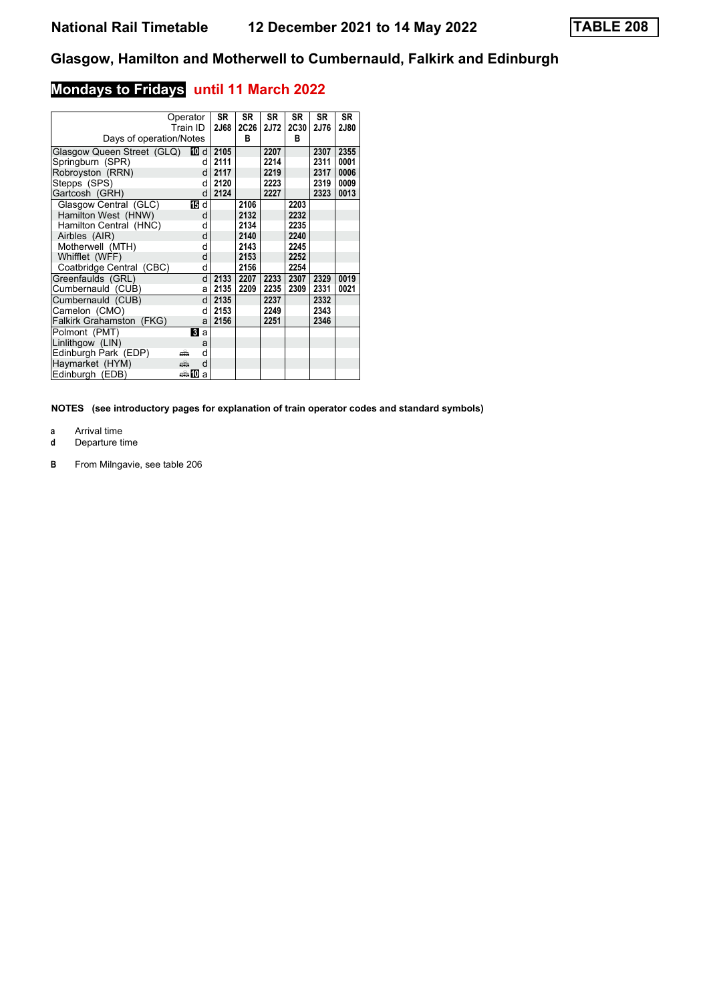|                                 | Operator | <b>SR</b>              | <b>SR</b>   | <b>SR</b>   | <b>SR</b>   | <b>SR</b>   | <b>SR</b>   |
|---------------------------------|----------|------------------------|-------------|-------------|-------------|-------------|-------------|
|                                 | Train ID | <b>2J68</b>            | <b>2C26</b> | <b>2J72</b> | <b>2C30</b> | <b>2J76</b> | <b>2J80</b> |
| Days of operation/Notes         |          |                        | R           |             | R           |             |             |
| Glasgow Queen Street (GLQ)      | 100 d    | 2105                   |             | 2207        |             | 2307        | 2355        |
| Springburn (SPR)                |          | 2111<br>d              |             | 2214        |             | 2311        | 0001        |
| Robroyston (RRN)                | d        | 2117                   |             | 2219        |             | 2317        | 0006        |
| Stepps (SPS)                    | q        | 2120                   |             | 2223        |             | 2319        | 0009        |
| Gartcosh (GRH)                  |          | d<br>2124              |             | 2227        |             | 2323        | 0013        |
| Glasgow Central (GLC)           | 16 d     |                        | 2106        |             | 2203        |             |             |
| Hamilton West (HNW)             | d        |                        | 2132        |             | 2232        |             |             |
| Hamilton Central (HNC)          | d        |                        | 2134        |             | 2235        |             |             |
| Airbles (AIR)                   | d        |                        | 2140        |             | 2240        |             |             |
| Motherwell (MTH)                | d        |                        | 2143        |             | 2245        |             |             |
| Whifflet (WFF)                  | d        |                        | 2153        |             | 2252        |             |             |
| Coatbridge Central (CBC)        | d        |                        | 2156        |             | 2254        |             |             |
| Greenfaulds (GRL)               |          | 2133<br>d              | 2207        | 2233        | 2307        | 2329        | 0019        |
| Cumbernauld (CUB)               |          | 2135<br>a              | 2209        | 2235        | 2309        | 2331        | 0021        |
| Cumbernauld (CUB)               |          | d<br>2135              |             | 2237        |             | 2332        |             |
| Camelon (CMO)                   | d        | 2153                   |             | 2249        |             | 2343        |             |
| <b>Falkirk Grahamston (FKG)</b> |          | 2156<br>a <sub>l</sub> |             | 2251        |             | 2346        |             |
| Polmont (PMT)                   | в<br>a   |                        |             |             |             |             |             |
| Linlithgow (LIN)                | a        |                        |             |             |             |             |             |
| Edinburgh Park (EDP)            | d<br>۵Ř  |                        |             |             |             |             |             |
| Haymarket (HYM)                 | d<br>æ   |                        |             |             |             |             |             |
| Edinburgh (EDB)                 | ⇔10<br>a |                        |             |             |             |             |             |

# **Mondays to Fridays until 11 March 2022**

**NOTES (see introductory pages for explanation of train operator codes and standard symbols)**

**a** Arrival time

**d** Departure time

**B** From Milngavie, see table 206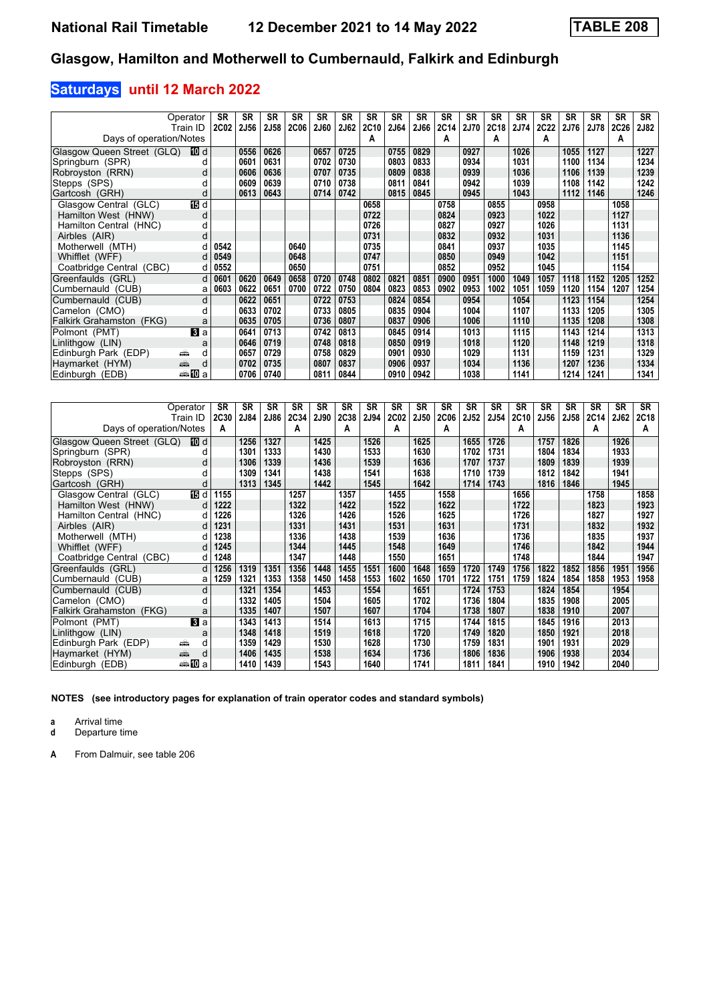## **Saturdays until 12 March 2022**

| Operator<br>Train ID          |       | SR<br><b>2C02</b> | <b>SR</b><br><b>2J56</b> | <b>SR</b><br><b>2J58</b> | <b>SR</b><br><b>2C06</b> | <b>SR</b><br><b>2J60</b> | <b>SR</b><br><b>2J62</b> | <b>SR</b><br>2C10 | SR<br>2J64 | <b>SR</b><br>2J66 | <b>SR</b><br>2C14 | <b>SR</b><br><b>2J70</b> | <b>SR</b><br><b>2C18</b> | SR<br>2J74 | <b>SR</b><br>2C22 | <b>SR</b><br><b>2J76</b> | <b>SR</b><br>2J78 | SR<br>2C26 | <b>SR</b><br>2J82 |
|-------------------------------|-------|-------------------|--------------------------|--------------------------|--------------------------|--------------------------|--------------------------|-------------------|------------|-------------------|-------------------|--------------------------|--------------------------|------------|-------------------|--------------------------|-------------------|------------|-------------------|
| Days of operation/Notes       |       |                   |                          |                          |                          |                          |                          | A                 |            |                   | A                 |                          | А                        |            | A                 |                          |                   | А          |                   |
| Glasgow Queen Street (GLQ)    | 10 d  |                   | 0556                     | 0626                     |                          | 0657                     | 0725                     |                   | 0755       | 0829              |                   | 0927                     |                          | 1026       |                   | 1055                     | 1127              |            | 1227              |
| Springburn (SPR)              | d     |                   | 0601                     | 0631                     |                          | 0702                     | 0730                     |                   | 0803       | 0833              |                   | 0934                     |                          | 1031       |                   | 1100                     | 1134              |            | 1234              |
| Robroyston (RRN)              | d     |                   | 0606                     | 0636                     |                          | 0707                     | 0735                     |                   | 0809       | 0838              |                   | 0939                     |                          | 1036       |                   | 1106                     | 1139              |            | 1239              |
| Stepps (SPS)                  | d     |                   | 0609                     | 0639                     |                          | 0710                     | 0738                     |                   | 0811       | 0841              |                   | 0942                     |                          | 1039       |                   | 1108                     | 1142              |            | 1242              |
| Gartcosh (GRH)                | d     |                   | 0613                     | 0643                     |                          | 0714                     | 0742                     |                   | 0815       | 0845              |                   | 0945                     |                          | 1043       |                   | 1112                     | 1146              |            | 1246              |
| Glasgow Central (GLC)         | 15 d  |                   |                          |                          |                          |                          |                          | 0658              |            |                   | 0758              |                          | 0855                     |            | 0958              |                          |                   | 1058       |                   |
| Hamilton West (HNW)           | d     |                   |                          |                          |                          |                          |                          | 0722              |            |                   | 0824              |                          | 0923                     |            | 1022              |                          |                   | 1127       |                   |
| Hamilton Central (HNC)        | d     |                   |                          |                          |                          |                          |                          | 0726              |            |                   | 0827              |                          | 0927                     |            | 1026              |                          |                   | 1131       |                   |
| Airbles (AIR)                 | d     |                   |                          |                          |                          |                          |                          | 0731              |            |                   | 0832              |                          | 0932                     |            | 1031              |                          |                   | 1136       |                   |
| Motherwell (MTH)              | d     | 0542              |                          |                          | 0640                     |                          |                          | 0735              |            |                   | 0841              |                          | 0937                     |            | 1035              |                          |                   | 1145       |                   |
| Whifflet (WFF)                | d     | 0549              |                          |                          | 0648                     |                          |                          | 0747              |            |                   | 0850              |                          | 0949                     |            | 1042              |                          |                   | 1151       |                   |
| Coatbridge Central (CBC)      | d     | 0552              |                          |                          | 0650                     |                          |                          | 0751              |            |                   | 0852              |                          | 0952                     |            | 1045              |                          |                   | 1154       |                   |
| Greenfaulds (GRL)             | d     | 0601              | 0620                     | 0649                     | 0658                     | 0720                     | 0748                     | 0802              | 0821       | 0851              | 0900              | 0951                     | 1000                     | 1049       | 1057              | 1118                     | 1152              | 1205       | 1252              |
| Cumbernauld (CUB)             | a     | 0603              | 0622                     | 0651                     | 0700                     | 0722                     | 0750                     | 0804              | 0823       | 0853              | 0902              | 0953                     | 1002                     | 1051       | 1059              | 1120                     | 1154              | 1207       | 1254              |
| Cumbernauld (CUB)             | d     |                   | 0622                     | 0651                     |                          | 0722                     | 0753                     |                   | 0824       | 0854              |                   | 0954                     |                          | 1054       |                   | 1123                     | 1154              |            | 1254              |
| Camelon (CMO)                 | d     |                   | 0633                     | 0702                     |                          | 0733                     | 0805                     |                   | 0835       | 0904              |                   | 1004                     |                          | 1107       |                   | 1133                     | 1205              |            | 1305              |
| Falkirk Grahamston (FKG)      | a     |                   | 0635                     | 0705                     |                          | 0736                     | 0807                     |                   | 0837       | 0906              |                   | 1006                     |                          | 1110       |                   | 1135                     | 1208              |            | 1308              |
| Polmont (PMT)                 | a     |                   | 0641                     | 0713                     |                          | 0742                     | 0813                     |                   | 0845       | 0914              |                   | 1013                     |                          | 1115       |                   | 1143                     | 1214              |            | 1313              |
| Linlithgow (LIN)              | a     |                   | 0646                     | 0719                     |                          | 0748                     | 0818                     |                   | 0850       | 0919              |                   | 1018                     |                          | 1120       |                   | 1148                     | 1219              |            | 1318              |
| Edinburgh Park (EDP)<br>يتنيه | d     |                   | 0657                     | 0729                     |                          | 0758                     | 0829                     |                   | 0901       | 0930              |                   | 1029                     |                          | 1131       |                   | 1159                     | 1231              |            | 1329              |
| پیشته<br>Haymarket (HYM)      | d     |                   | 0702                     | 0735                     |                          | 0807                     | 0837                     |                   | 0906       | 0937              |                   | 1034                     |                          | 1136       |                   | 1207                     | 1236              |            | 1334              |
| Edinburgh (EDB)               | an‱Ma |                   | 0706                     | 0740                     |                          | 0811                     | 0844                     |                   | 0910       | 0942              |                   | 1038                     |                          | 1141       |                   | 1214                     | 1241              |            | 1341              |

|                            | Operator<br>Train ID | SR<br>2C30 | <b>SR</b><br>2J84 | <b>SR</b><br><b>2J86</b> | <b>SR</b><br>2C34 | <b>SR</b><br><b>2J90</b> | <b>SR</b><br>2C38 | <b>SR</b><br>2J94 | <b>SR</b><br>2C02 | <b>SR</b><br><b>2J50</b> | <b>SR</b><br><b>2C06</b> | <b>SR</b><br>2J52 | <b>SR</b><br>2J54 | <b>SR</b><br>2C10 | <b>SR</b><br><b>2J56</b> | <b>SR</b><br>2J58 | <b>SR</b><br>2C14 | <b>SR</b><br>2J62 | SR<br>2C18 |
|----------------------------|----------------------|------------|-------------------|--------------------------|-------------------|--------------------------|-------------------|-------------------|-------------------|--------------------------|--------------------------|-------------------|-------------------|-------------------|--------------------------|-------------------|-------------------|-------------------|------------|
| Days of operation/Notes    |                      | A          |                   |                          | А                 |                          | A                 |                   | A                 |                          | А                        |                   |                   | А                 |                          |                   | А                 |                   | А          |
| Glasgow Queen Street (GLQ) | 10 d                 |            | 1256              | 1327                     |                   | 1425                     |                   | 1526              |                   | 1625                     |                          | 1655              | 1726              |                   | 1757                     | 1826              |                   | 1926              |            |
| Springburn (SPR)           | d                    |            | 1301              | 1333                     |                   | 1430                     |                   | 1533              |                   | 1630                     |                          | 1702              | 1731              |                   | 1804                     | 1834              |                   | 1933              |            |
| Robroyston (RRN)           | d                    |            | 1306              | 1339                     |                   | 1436                     |                   | 1539              |                   | 1636                     |                          | 1707              | 1737              |                   | 1809                     | 1839              |                   | 1939              |            |
| Stepps (SPS)               |                      |            | 1309              | 1341                     |                   | 1438                     |                   | 1541              |                   | 1638                     |                          | 1710              | 1739              |                   | 1812                     | 1842              |                   | 1941              |            |
| Gartcosh (GRH)             | d                    |            | 1313              | 1345                     |                   | 1442                     |                   | 1545              |                   | 1642                     |                          | 1714              | 1743              |                   | 1816                     | 1846              |                   | 1945              |            |
| Glasgow Central (GLC)      | 16 d                 | 1155       |                   |                          | 1257              |                          | 1357              |                   | 1455              |                          | 1558                     |                   |                   | 1656              |                          |                   | 1758              |                   | 1858       |
| Hamilton West (HNW)        | d                    | 1222       |                   |                          | 1322              |                          | 1422              |                   | 1522              |                          | 1622                     |                   |                   | 1722              |                          |                   | 1823              |                   | 1923       |
| Hamilton Central (HNC)     | d                    | 1226       |                   |                          | 1326              |                          | 1426              |                   | 1526              |                          | 1625                     |                   |                   | 1726              |                          |                   | 1827              |                   | 1927       |
| Airbles (AIR)              | d                    | 1231       |                   |                          | 1331              |                          | 1431              |                   | 1531              |                          | 1631                     |                   |                   | 1731              |                          |                   | 1832              |                   | 1932       |
| Motherwell (MTH)           |                      | 1238       |                   |                          | 1336              |                          | 1438              |                   | 1539              |                          | 1636                     |                   |                   | 1736              |                          |                   | 1835              |                   | 1937       |
| Whifflet (WFF)             | d                    | 1245       |                   |                          | 1344              |                          | 1445              |                   | 1548              |                          | 1649                     |                   |                   | 1746              |                          |                   | 1842              |                   | 1944       |
| Coatbridge Central (CBC)   | d                    | 1248       |                   |                          | 1347              |                          | 1448              |                   | 1550              |                          | 1651                     |                   |                   | 1748              |                          |                   | 1844              |                   | 1947       |
| Greenfaulds (GRL)          | d                    | 1256       | 1319              | 1351                     | 1356              | 1448                     | 1455              | 1551              | 1600              | 1648                     | 1659                     | 1720              | 1749              | 1756              | 1822                     | 1852              | 1856              | 1951              | 1956       |
| Cumbernauld (CUB)          | a                    | 1259       | 1321              | 1353                     | 1358              | 1450                     | 1458              | 1553              | 1602              | 1650                     | 1701                     | 1722              | 1751              | 1759              | 1824                     | 1854              | 1858              | 1953              | 1958       |
| Cumbernauld (CUB)          | d                    |            | 1321              | 1354                     |                   | 1453                     |                   | 1554              |                   | 1651                     |                          | 1724              | 1753              |                   | 1824                     | 1854              |                   | 1954              |            |
| Camelon (CMO)              | d                    |            | 1332              | 1405                     |                   | 1504                     |                   | 1605              |                   | 1702                     |                          | 1736              | 1804              |                   | 1835                     | 1908              |                   | 2005              |            |
| Falkirk Grahamston (FKG)   | a                    |            | 1335              | 1407                     |                   | 1507                     |                   | 1607              |                   | 1704                     |                          | 1738              | 1807              |                   | 1838                     | 1910              |                   | 2007              |            |
| Polmont (PMT)              | <b>B</b> a           |            | 1343              | 1413                     |                   | 1514                     |                   | 1613              |                   | 1715                     |                          | 1744              | 1815              |                   | 1845                     | 1916              |                   | 2013              |            |
| Linlithgow (LIN)           | а                    |            | 1348              | 1418                     |                   | 1519                     |                   | 1618              |                   | 1720                     |                          | 1749              | 1820              |                   | 1850                     | 1921              |                   | 2018              |            |
| Edinburgh Park (EDP)       | پیش<br>d             |            | 1359              | 1429                     |                   | 1530                     |                   | 1628              |                   | 1730                     |                          | 1759              | 1831              |                   | 1901                     | 1931              |                   | 2029              |            |
| Haymarket (HYM)            | ain<br>d             |            | 1406              | 1435                     |                   | 1538                     |                   | 1634              |                   | 1736                     |                          | 1806              | 1836              |                   | 1906                     | 1938              |                   | 2034              |            |
| Edinburgh<br>(EDB)         | denaΩla              |            | 1410              | 1439                     |                   | 1543                     |                   | 1640              |                   | 1741                     |                          | 1811              | 1841              |                   | 1910                     | 1942              |                   | 2040              |            |

**NOTES (see introductory pages for explanation of train operator codes and standard symbols)**

**a** Arrival time

**d** Departure time

**A** From Dalmuir, see table 20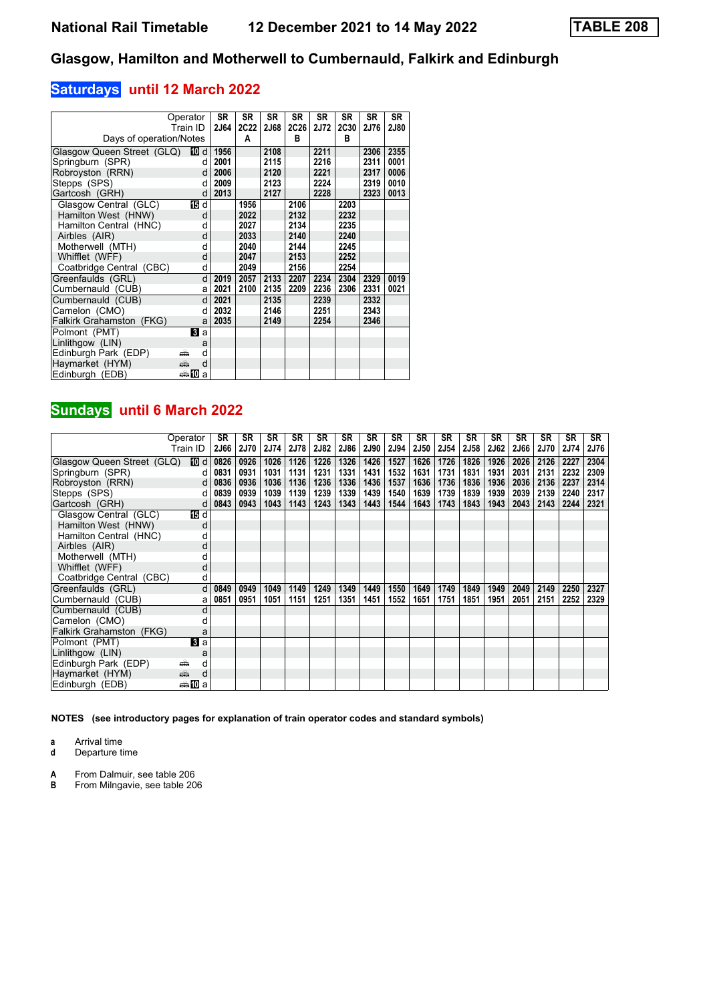### **Saturdays until 12 March 2022**

|                                  | Operator<br>Train ID | <b>SR</b><br>2J64 | SR<br>2C22 | <b>SR</b><br><b>2J68</b> | <b>SR</b><br>2C26 | <b>SR</b><br><b>2J72</b> | <b>SR</b><br><b>2C30</b> | <b>SR</b><br>2J76 | <b>SR</b><br>2J80 |
|----------------------------------|----------------------|-------------------|------------|--------------------------|-------------------|--------------------------|--------------------------|-------------------|-------------------|
| Days of operation/Notes          |                      |                   | A          |                          | в                 |                          | в                        |                   |                   |
| Glasgow Queen Street (GLQ) III d |                      | 1956              |            | 2108                     |                   | 2211                     |                          | 2306              | 2355              |
| Springburn (SPR)                 | d                    | 2001              |            | 2115                     |                   | 2216                     |                          | 2311              | 0001              |
| Robrovston (RRN)                 | d                    | 2006              |            | 2120                     |                   | 2221                     |                          | 2317              | 0006              |
| Stepps (SPS)                     | d                    | 2009              |            | 2123                     |                   | 2224                     |                          | 2319              | 0010              |
| Gartcosh (GRH)                   | d                    | 2013              |            | 2127                     |                   | 2228                     |                          | 2323              | 0013              |
| Glasgow Central (GLC)            | 16 d                 |                   | 1956       |                          | 2106              |                          | 2203                     |                   |                   |
| Hamilton West (HNW)              | d                    |                   | 2022       |                          | 2132              |                          | 2232                     |                   |                   |
| Hamilton Central (HNC)           | d                    |                   | 2027       |                          | 2134              |                          | 2235                     |                   |                   |
| Airbles (AIR)                    | d                    |                   | 2033       |                          | 2140              |                          | 2240                     |                   |                   |
| Motherwell (MTH)                 | d                    |                   | 2040       |                          | 2144              |                          | 2245                     |                   |                   |
| Whifflet (WFF)                   | d                    |                   | 2047       |                          | 2153              |                          | 2252                     |                   |                   |
| Coatbridge Central (CBC)         | d                    |                   | 2049       |                          | 2156              |                          | 2254                     |                   |                   |
| Greenfaulds (GRL)                | $\mathsf{d}$         | 2019              | 2057       | 2133                     | 2207              | 2234                     | 2304                     | 2329              | 0019              |
| Cumbernauld (CUB)                | a                    | 2021              | 2100       | 2135                     | 2209              | 2236                     | 2306                     | 2331              | 0021              |
| Cumbernauld (CUB)                | d                    | 2021              |            | 2135                     |                   | 2239                     |                          | 2332              |                   |
| Camelon (CMO)                    | d                    | 2032              |            | 2146                     |                   | 2251                     |                          | 2343              |                   |
| Falkirk Grahamston (FKG)         | a                    | 2035              |            | 2149                     |                   | 2254                     |                          | 2346              |                   |
| Polmont (PMT)                    | Вl а                 |                   |            |                          |                   |                          |                          |                   |                   |
| Linlithgow (LIN)                 | a                    |                   |            |                          |                   |                          |                          |                   |                   |
| Edinburgh Park (EDP)             | d<br>پیش             |                   |            |                          |                   |                          |                          |                   |                   |
| Haymarket (HYM)                  | پېښ<br>d             |                   |            |                          |                   |                          |                          |                   |                   |
| Edinburgh (EDB)                  | $\oplus$ 10<br>a     |                   |            |                          |                   |                          |                          |                   |                   |

# **Sundays until 6 March 2022**

|                            | Operator       | <b>SR</b>   | SR          | <b>SR</b> | <b>SR</b> | SR          | SR   | <b>SR</b>   | <b>SR</b> | SR          | <b>SR</b>   | <b>SR</b>   | SR          | <b>SR</b>   | SR          | <b>SR</b>   | <b>SR</b>   |
|----------------------------|----------------|-------------|-------------|-----------|-----------|-------------|------|-------------|-----------|-------------|-------------|-------------|-------------|-------------|-------------|-------------|-------------|
|                            | Train ID       | <b>2J66</b> | <b>2J70</b> | 2J74      | 2J78      | <b>2J82</b> | 2J86 | <b>2J90</b> | 2J94      | <b>2J50</b> | <b>2J54</b> | <b>2J58</b> | <b>2J62</b> | <b>2J66</b> | <b>2J70</b> | <b>2J74</b> | <b>2J76</b> |
| Glasgow Queen Street (GLQ) | 10 d           | 0826        | 0926        | 1026      | 1126      | 1226        | 1326 | 1426        | 1527      | 1626        | 1726        | 1826        | 1926        | 2026        | 2126        | 2227        | 2304        |
| Springburn (SPR)           | d              | 0831        | 0931        | 1031      | 1131      | 1231        | 1331 | 1431        | 1532      | 1631        | 1731        | 1831        | 1931        | 2031        | 2131        | 2232        | 2309        |
| Robroyston (RRN)           | d              | 0836        | 0936        | 1036      | 1136      | 1236        | 1336 | 1436        | 1537      | 1636        | 1736        | 1836        | 1936        | 2036        | 2136        | 2237        | 2314        |
| Stepps (SPS)               | d              | 0839        | 0939        | 1039      | 1139      | 1239        | 1339 | 1439        | 1540      | 1639        | 1739        | 1839        | 1939        | 2039        | 2139        | 2240        | 2317        |
| Gartcosh (GRH)             | d              | 0843        | 0943        | 1043      | 1143      | 1243        | 1343 | 1443        | 1544      | 1643        | 1743        | 1843        | 1943        | 2043        | 2143        | 2244        | 2321        |
| Glasgow Central (GLC)      | 15 d           |             |             |           |           |             |      |             |           |             |             |             |             |             |             |             |             |
| Hamilton West (HNW)        | d              |             |             |           |           |             |      |             |           |             |             |             |             |             |             |             |             |
| Hamilton Central (HNC)     | d              |             |             |           |           |             |      |             |           |             |             |             |             |             |             |             |             |
| Airbles (AIR)              | d              |             |             |           |           |             |      |             |           |             |             |             |             |             |             |             |             |
| Motherwell (MTH)           | d              |             |             |           |           |             |      |             |           |             |             |             |             |             |             |             |             |
| Whifflet (WFF)             | d              |             |             |           |           |             |      |             |           |             |             |             |             |             |             |             |             |
| Coatbridge Central (CBC)   | d              |             |             |           |           |             |      |             |           |             |             |             |             |             |             |             |             |
| Greenfaulds (GRL)          | d              | 0849        | 0949        | 1049      | 1149      | 1249        | 1349 | 1449        | 1550      | 1649        | 1749        | 1849        | 1949        | 2049        | 2149        | 2250        | 2327        |
| Cumbernauld (CUB)          | a              | 0851        | 0951        | 1051      | 1151      | 1251        | 1351 | 1451        | 1552      | 1651        | 1751        | 1851        | 1951        | 2051        | 2151        | 2252        | 2329        |
| Cumbernauld (CUB)          | d              |             |             |           |           |             |      |             |           |             |             |             |             |             |             |             |             |
| Camelon (CMO)              | d              |             |             |           |           |             |      |             |           |             |             |             |             |             |             |             |             |
| Falkirk Grahamston (FKG)   | a              |             |             |           |           |             |      |             |           |             |             |             |             |             |             |             |             |
| Polmont (PMT)              | $\mathbf{B}$ a |             |             |           |           |             |      |             |           |             |             |             |             |             |             |             |             |
| Linlithgow (LIN)           | a              |             |             |           |           |             |      |             |           |             |             |             |             |             |             |             |             |
| Edinburgh Park (EDP)       | پیش<br>d       |             |             |           |           |             |      |             |           |             |             |             |             |             |             |             |             |
| Haymarket (HYM)            | ain<br>d       |             |             |           |           |             |      |             |           |             |             |             |             |             |             |             |             |
| Edinburgh (EDB)            | anna nDian     |             |             |           |           |             |      |             |           |             |             |             |             |             |             |             |             |

**NOTES (see introductory pages for explanation of train operator codes and standard symbols)**

**a** Arrival time<br>**d** Departure t

**d** Departure time

**A** From Dalmuir, see table 206<br>**B** From Milngavie, see table 20

**From Milngavie, see table 206**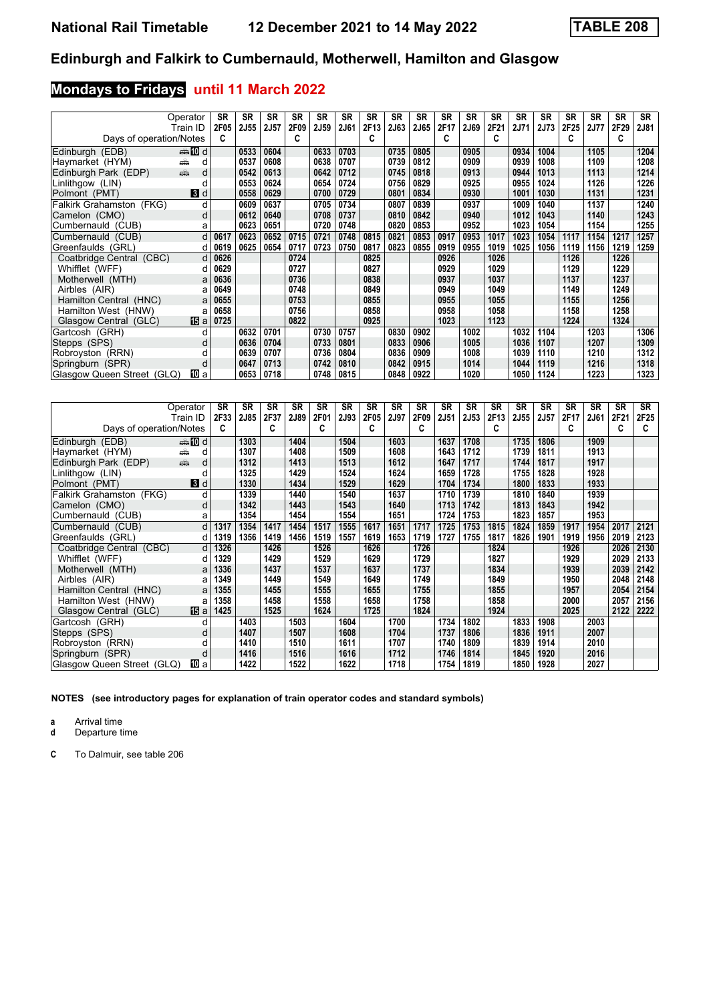# **Mondays to Fridays until 11 March 2022**

|                            | Operator       | SR   | <b>SR</b> | <b>SR</b>   | <b>SR</b> | SR   | SR          | SR   | <b>SR</b> | <b>SR</b> | <b>SR</b> | <b>SR</b> | <b>SR</b> | <b>SR</b>   | <b>SR</b> | <b>SR</b> | <b>SR</b>   | <b>SR</b> | <b>SR</b> |
|----------------------------|----------------|------|-----------|-------------|-----------|------|-------------|------|-----------|-----------|-----------|-----------|-----------|-------------|-----------|-----------|-------------|-----------|-----------|
|                            | Train ID       | 2F05 | 2J55      | <b>2J57</b> | 2F09      | 2J59 | <b>2J61</b> | 2F13 | 2J63      | 2J65      | 2F17      | 2J69      | 2F21      | <b>2J71</b> | 2J73      | 2F25      | <b>2J77</b> | 2F29      | 2J81      |
| Days of operation/Notes    |                | C    |           |             | C         |      |             | c    |           |           | c         |           | C         |             |           | C         |             | C         |           |
| Edinburgh (EDB)            | nnen middi     |      | 0533      | 0604        |           | 0633 | 0703        |      | 0735      | 0805      |           | 0905      |           | 0934        | 1004      |           | 1105        |           | 1204      |
| Haymarket (HYM)            | پیشته<br>d     |      | 0537      | 0608        |           | 0638 | 0707        |      | 0739      | 0812      |           | 0909      |           | 0939        | 1008      |           | 1109        |           | 1208      |
| Edinburgh Park (EDP)       | پيش<br>d       |      | 0542      | 0613        |           | 0642 | 0712        |      | 0745      | 0818      |           | 0913      |           | 0944        | 1013      |           | 1113        |           | 1214      |
| Linlithgow (LIN)           | d              |      | 0553      | 0624        |           | 0654 | 0724        |      | 0756      | 0829      |           | 0925      |           | 0955        | 1024      |           | 1126        |           | 1226      |
| Polmont (PMT)              | $\mathbf{3}$ d |      | 0558      | 0629        |           | 0700 | 0729        |      | 0801      | 0834      |           | 0930      |           | 1001        | 1030      |           | 1131        |           | 1231      |
| Falkirk Grahamston (FKG)   | d              |      | 0609      | 0637        |           | 0705 | 0734        |      | 0807      | 0839      |           | 0937      |           | 1009        | 1040      |           | 1137        |           | 1240      |
| Camelon (CMO)              | d              |      | 0612      | 0640        |           | 0708 | 0737        |      | 0810      | 0842      |           | 0940      |           | 1012        | 1043      |           | 1140        |           | 1243      |
| Cumbernauld (CUB)          | a              |      | 0623      | 0651        |           | 0720 | 0748        |      | 0820      | 0853      |           | 0952      |           | 1023        | 1054      |           | 1154        |           | 1255      |
| Cumbernauld (CUB)          | d              | 0617 | 0623      | 0652        | 0715      | 0721 | 0748        | 0815 | 0821      | 0853      | 0917      | 0953      | 1017      | 1023        | 1054      | 1117      | 1154        | 1217      | 1257      |
| Greenfaulds (GRL)          | d              | 0619 | 0625      | 0654        | 0717      | 0723 | 0750        | 0817 | 0823      | 0855      | 0919      | 0955      | 1019      | 1025        | 1056      | 1119      | 1156        | 1219      | 1259      |
| Coatbridge Central (CBC)   | d              | 0626 |           |             | 0724      |      |             | 0825 |           |           | 0926      |           | 1026      |             |           | 1126      |             | 1226      |           |
| Whifflet (WFF)             | d              | 0629 |           |             | 0727      |      |             | 0827 |           |           | 0929      |           | 1029      |             |           | 1129      |             | 1229      |           |
| Motherwell (MTH)           | a              | 0636 |           |             | 0736      |      |             | 0838 |           |           | 0937      |           | 1037      |             |           | 1137      |             | 1237      |           |
| Airbles (AIR)              | a              | 0649 |           |             | 0748      |      |             | 0849 |           |           | 0949      |           | 1049      |             |           | 1149      |             | 1249      |           |
| Hamilton Central (HNC)     | a              | 0655 |           |             | 0753      |      |             | 0855 |           |           | 0955      |           | 1055      |             |           | 1155      |             | 1256      |           |
| Hamilton West (HNW)        | a              | 0658 |           |             | 0756      |      |             | 0858 |           |           | 0958      |           | 1058      |             |           | 1158      |             | 1258      |           |
| Glasgow Central (GLC)      | 16 a           | 0725 |           |             | 0822      |      |             | 0925 |           |           | 1023      |           | 1123      |             |           | 1224      |             | 1324      |           |
| Gartcosh (GRH)             | d              |      | 0632      | 0701        |           | 0730 | 0757        |      | 0830      | 0902      |           | 1002      |           | 1032        | 1104      |           | 1203        |           | 1306      |
| Stepps (SPS)               | d              |      | 0636      | 0704        |           | 0733 | 0801        |      | 0833      | 0906      |           | 1005      |           | 1036        | 1107      |           | 1207        |           | 1309      |
| Robroyston (RRN)           | d              |      | 0639      | 0707        |           | 0736 | 0804        |      | 0836      | 0909      |           | 1008      |           | 1039        | 1110      |           | 1210        |           | 1312      |
| Springburn (SPR)           | d              |      | 0647      | 0713        |           | 0742 | 0810        |      | 0842      | 0915      |           | 1014      |           | 1044        | 1119      |           | 1216        |           | 1318      |
| Glasgow Queen Street (GLQ) | 100 a          |      | 0653      | 0718        |           | 0748 | 0815        |      | 0848      | 0922      |           | 1020      |           | 1050        | 1124      |           | 1223        |           | 1323      |

|                            | Operator       | SR   | <b>SR</b> | <b>SR</b> | <b>SR</b> | <b>SR</b> | <b>SR</b> | <b>SR</b> | <b>SR</b> | <b>SR</b> | SR          | <b>SR</b> | <b>SR</b> | <b>SR</b> | <b>SR</b> | <b>SR</b> | <b>SR</b>   | <b>SR</b> | SR   |
|----------------------------|----------------|------|-----------|-----------|-----------|-----------|-----------|-----------|-----------|-----------|-------------|-----------|-----------|-----------|-----------|-----------|-------------|-----------|------|
|                            | Train ID       | 2F33 | 2J85      | 2F37      | 2J89      | 2F01      | 2J93      | 2F05      | 2J97      | 2F09      | <b>2J51</b> | 2J53      | 2F13      | 2J55      | 2J57      | 2F17      | <b>2J61</b> | 2F21      | 2F25 |
| Days of operation/Notes    |                | C    |           | C         |           | C         |           | C         |           | C         |             |           | C         |           |           | C         |             | C         | C    |
| Edinburgh (EDB)            | d <b>n</b> and |      | 1303      |           | 1404      |           | 1504      |           | 1603      |           | 1637        | 1708      |           | 1735      | 1806      |           | 1909        |           |      |
| Haymarket (HYM)            | æ<br>d         |      | 1307      |           | 1408      |           | 1509      |           | 1608      |           | 1643        | 1712      |           | 1739      | 1811      |           | 1913        |           |      |
| Edinburgh Park (EDP)       | añ.<br>d       |      | 1312      |           | 1413      |           | 1513      |           | 1612      |           | 1647        | 1717      |           | 1744      | 1817      |           | 1917        |           |      |
| Linlithgow (LIN)           | d              |      | 1325      |           | 1429      |           | 1524      |           | 1624      |           | 1659        | 1728      |           | 1755      | 1828      |           | 1928        |           |      |
| Polmont (PMT)              | 3d             |      | 1330      |           | 1434      |           | 1529      |           | 1629      |           | 1704        | 1734      |           | 1800      | 1833      |           | 1933        |           |      |
| Falkirk Grahamston (FKG)   | d              |      | 1339      |           | 1440      |           | 1540      |           | 1637      |           | 1710        | 1739      |           | 1810      | 1840      |           | 1939        |           |      |
| Camelon (CMO)              | d              |      | 1342      |           | 1443      |           | 1543      |           | 1640      |           | 1713        | 1742      |           | 1813      | 1843      |           | 1942        |           |      |
| Cumbernauld (CUB)          | a              |      | 1354      |           | 1454      |           | 1554      |           | 1651      |           | 1724        | 1753      |           | 1823      | 1857      |           | 1953        |           |      |
| Cumbernauld (CUB)          | d              | 1317 | 1354      | 1417      | 1454      | 1517      | 1555      | 1617      | 1651      | 1717      | 1725        | 1753      | 1815      | 1824      | 1859      | 1917      | 1954        | 2017      | 2121 |
| Greenfaulds (GRL)          |                | 1319 | 1356      | 1419      | 1456      | 1519      | 1557      | 1619      | 1653      | 1719      | 1727        | 1755      | 1817      | 1826      | 1901      | 1919      | 1956        | 2019      | 2123 |
| Coatbridge Central (CBC)   | d              | 1326 |           | 1426      |           | 1526      |           | 1626      |           | 1726      |             |           | 1824      |           |           | 1926      |             | 2026      | 2130 |
| Whifflet (WFF)             |                | 1329 |           | 1429      |           | 1529      |           | 1629      |           | 1729      |             |           | 1827      |           |           | 1929      |             | 2029      | 2133 |
| Motherwell (MTH)           | a              | 1336 |           | 1437      |           | 1537      |           | 1637      |           | 1737      |             |           | 1834      |           |           | 1939      |             | 2039      | 2142 |
| Airbles (AIR)              |                | 1349 |           | 1449      |           | 1549      |           | 1649      |           | 1749      |             |           | 1849      |           |           | 1950      |             | 2048      | 2148 |
| Hamilton Central (HNC)     | a              | 1355 |           | 1455      |           | 1555      |           | 1655      |           | 1755      |             |           | 1855      |           |           | 1957      |             | 2054      | 2154 |
| Hamilton West (HNW)        | a              | 1358 |           | 1458      |           | 1558      |           | 1658      |           | 1758      |             |           | 1858      |           |           | 2000      |             | 2057      | 2156 |
| Glasgow Central (GLC)      | 115 a          | 1425 |           | 1525      |           | 1624      |           | 1725      |           | 1824      |             |           | 1924      |           |           | 2025      |             | 2122      | 2222 |
| Gartcosh (GRH)             |                |      | 1403      |           | 1503      |           | 1604      |           | 1700      |           | 1734        | 1802      |           | 1833      | 1908      |           | 2003        |           |      |
| Stepps (SPS)               | d              |      | 1407      |           | 1507      |           | 1608      |           | 1704      |           | 1737        | 1806      |           | 1836      | 1911      |           | 2007        |           |      |
| Robroyston (RRN)           |                |      | 1410      |           | 1510      |           | 1611      |           | 1707      |           | 1740        | 1809      |           | 1839      | 1914      |           | 2010        |           |      |
| Springburn (SPR)           | d              |      | 1416      |           | 1516      |           | 1616      |           | 1712      |           | 1746        | 1814      |           | 1845      | 1920      |           | 2016        |           |      |
| Glasgow Queen Street (GLQ) | 吅 a            |      | 1422      |           | 1522      |           | 1622      |           | 1718      |           | 1754        | 1819      |           | 1850      | 1928      |           | 2027        |           |      |

**NOTES (see introductory pages for explanation of train operator codes and standard symbols)**

**a** Arrival time

**d** Departure time

**C** To Dalmuir, see table 20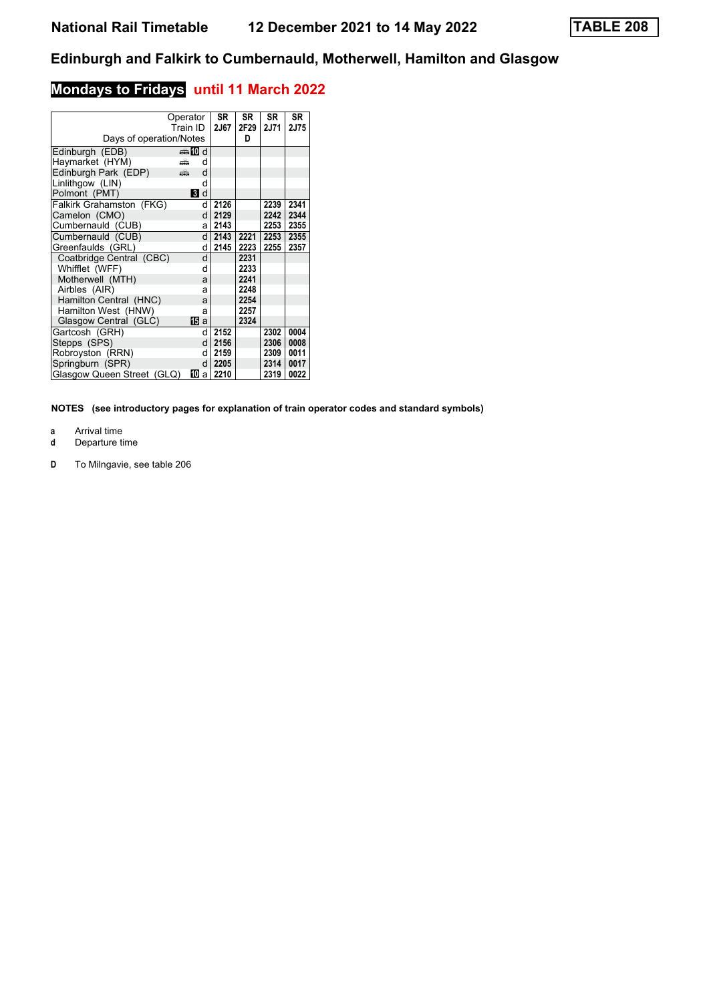| Days of operation/Notes    | Operator<br>Train ID |                | SR<br>2J67 | SR<br>2F29<br>D | SR<br><b>2J71</b> | <b>SR</b><br><b>2J75</b> |
|----------------------------|----------------------|----------------|------------|-----------------|-------------------|--------------------------|
| Edinburgh (EDB)            | dan Mud              |                |            |                 |                   |                          |
| Haymarket (HYM)            | æ                    | d              |            |                 |                   |                          |
| Edinburgh Park (EDP)       | ட்                   | d              |            |                 |                   |                          |
| Linlithgow (LIN)           |                      | d              |            |                 |                   |                          |
| Polmont (PMT)              |                      | $\blacksquare$ |            |                 |                   |                          |
| Falkirk Grahamston (FKG)   |                      | d              | 2126       |                 | 2239              | 2341                     |
| Camelon (CMO)              |                      | d              | 2129       |                 | 2242              | 2344                     |
| Cumbernauld (CUB)          |                      | a              | 2143       |                 | 2253              | 2355                     |
| Cumbernauld (CUB)          |                      | d              | 2143       | 2221            | 2253              | 2355                     |
| Greenfaulds (GRL)          |                      | q              | 2145       | 2223            | 2255              | 2357                     |
| Coatbridge Central (CBC)   |                      | d              |            | 2231            |                   |                          |
| Whifflet (WFF)             |                      | d              |            | 2233            |                   |                          |
| Motherwell (MTH)           |                      | a              |            | 2241            |                   |                          |
| Airbles (AIR)              |                      | a              |            | 2248            |                   |                          |
| Hamilton Central (HNC)     |                      | a              |            | 2254            |                   |                          |
| Hamilton West (HNW)        |                      | a              |            | 2257            |                   |                          |
| Glasgow Central (GLC)      | 15                   | a              |            | 2324            |                   |                          |
| Gartcosh (GRH)             |                      | q              | 2152       |                 | 2302              | 0004                     |
| Stepps (SPS)               |                      | d              | 2156       |                 | 2306              | 0008                     |
| Robroyston (RRN)           |                      | d              | 2159       |                 | 2309              | 0011                     |
| Springburn (SPR)           |                      | d              | 2205       |                 | 2314              | 0017                     |
| Glasgow Queen Street (GLQ) | Ю                    | a              | 2210       |                 | 2319              | 0022                     |

# **Mondays to Fridays until 11 March 2022**

**NOTES (see introductory pages for explanation of train operator codes and standard symbols)**

**a** Arrival time

**d** Departure time

**D** To Milngavie, see table 206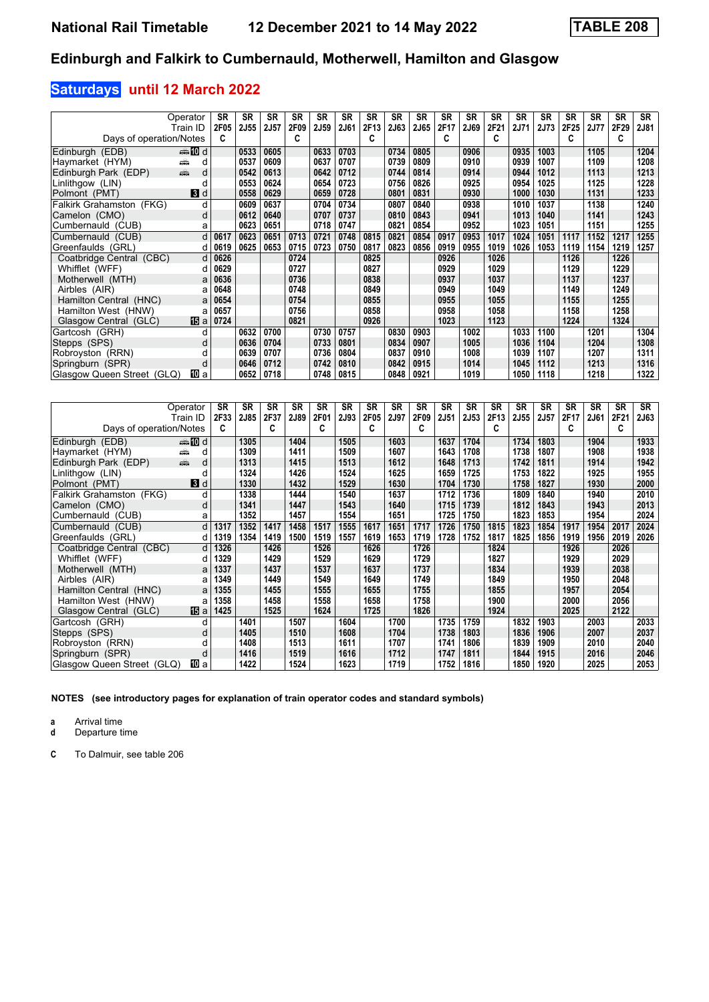## **Saturdays until 12 March 2022**

|                            | Operator<br>Train ID | <b>SR</b><br>2F05 | <b>SR</b><br>2J55 | <b>SR</b><br>2J57 | <b>SR</b><br>2F09 | SR<br>2J59 | <b>SR</b><br>2J61 | <b>SR</b><br>2F13 | <b>SR</b><br>2J63 | <b>SR</b><br>2J65 | <b>SR</b><br>2F17 | <b>SR</b><br>2J69 | <b>SR</b><br>2F21 | <b>SR</b><br><b>2J71</b> | <b>SR</b><br><b>2J73</b> | SR<br>2F <sub>25</sub> | <b>SR</b><br><b>2J77</b> | <b>SR</b><br>2F29 | <b>SR</b><br>2J81 |
|----------------------------|----------------------|-------------------|-------------------|-------------------|-------------------|------------|-------------------|-------------------|-------------------|-------------------|-------------------|-------------------|-------------------|--------------------------|--------------------------|------------------------|--------------------------|-------------------|-------------------|
| Days of operation/Notes    |                      | C                 |                   |                   | C                 |            |                   | c                 |                   |                   | c                 |                   | C                 |                          |                          | c                      |                          | C                 |                   |
| Edinburgh (EDB)            |                      |                   | 0533              | 0605              |                   | 0633       | 0703              |                   | 0734              | 0805              |                   | 0906              |                   | 0935                     | 1003                     |                        | 1105                     |                   | 1204              |
| Haymarket (HYM)            | پیشته<br>d           |                   | 0537              | 0609              |                   | 0637       | 0707              |                   | 0739              | 0809              |                   | 0910              |                   | 0939                     | 1007                     |                        | 1109                     |                   | 1208              |
| Edinburgh Park (EDP)       | پيش<br>d             |                   | 0542              | 0613              |                   | 0642       | 0712              |                   | 0744              | 0814              |                   | 0914              |                   | 0944                     | 1012                     |                        | 1113                     |                   | 1213              |
| Linlithgow (LIN)           | d                    |                   | 0553              | 0624              |                   | 0654       | 0723              |                   | 0756              | 0826              |                   | 0925              |                   | 0954                     | 1025                     |                        | 1125                     |                   | 1228              |
| Polmont (PMT)              | 3d                   |                   | 0558              | 0629              |                   | 0659       | 0728              |                   | 0801              | 0831              |                   | 0930              |                   | 1000                     | 1030                     |                        | 1131                     |                   | 1233              |
| Falkirk Grahamston (FKG)   | d                    |                   | 0609              | 0637              |                   | 0704       | 0734              |                   | 0807              | 0840              |                   | 0938              |                   | 1010                     | 1037                     |                        | 1138                     |                   | 1240              |
| Camelon (CMO)              | d                    |                   | 0612              | 0640              |                   | 0707       | 0737              |                   | 0810              | 0843              |                   | 0941              |                   | 1013                     | 1040                     |                        | 1141                     |                   | 1243              |
| Cumbernauld (CUB)          | a                    |                   | 0623              | 0651              |                   | 0718       | 0747              |                   | 0821              | 0854              |                   | 0952              |                   | 1023                     | 1051                     |                        | 1151                     |                   | 1255              |
| Cumbernauld (CUB)          | d                    | 0617              | 0623              | 0651              | 0713              | 0721       | 0748              | 0815              | 0821              | 0854              | 0917              | 0953              | 1017              | 1024                     | 1051                     | 1117                   | 1152                     | 1217              | 1255              |
| Greenfaulds (GRL)          | d                    | 0619              | 0625              | 0653              | 0715              | 0723       | 0750              | 0817              | 0823              | 0856              | 0919              | 0955              | 1019              | 1026                     | 1053                     | 1119                   | 1154                     | 1219              | 1257              |
| Coatbridge Central (CBC)   | d                    | 0626              |                   |                   | 0724              |            |                   | 0825              |                   |                   | 0926              |                   | 1026              |                          |                          | 1126                   |                          | 1226              |                   |
| Whifflet (WFF)             | d                    | 0629              |                   |                   | 0727              |            |                   | 0827              |                   |                   | 0929              |                   | 1029              |                          |                          | 1129                   |                          | 1229              |                   |
| Motherwell (MTH)           | a                    | 0636              |                   |                   | 0736              |            |                   | 0838              |                   |                   | 0937              |                   | 1037              |                          |                          | 1137                   |                          | 1237              |                   |
| Airbles (AIR)              | a                    | 0648              |                   |                   | 0748              |            |                   | 0849              |                   |                   | 0949              |                   | 1049              |                          |                          | 1149                   |                          | 1249              |                   |
| Hamilton Central (HNC)     | a                    | 0654              |                   |                   | 0754              |            |                   | 0855              |                   |                   | 0955              |                   | 1055              |                          |                          | 1155                   |                          | 1255              |                   |
| Hamilton West (HNW)        | a                    | 0657              |                   |                   | 0756              |            |                   | 0858              |                   |                   | 0958              |                   | 1058              |                          |                          | 1158                   |                          | 1258              |                   |
| Glasgow Central (GLC)      | 16 a                 | 0724              |                   |                   | 0821              |            |                   | 0926              |                   |                   | 1023              |                   | 1123              |                          |                          | 1224                   |                          | 1324              |                   |
| Gartcosh (GRH)             | d                    |                   | 0632              | 0700              |                   | 0730       | 0757              |                   | 0830              | 0903              |                   | 1002              |                   | 1033                     | 1100                     |                        | 1201                     |                   | 1304              |
| Stepps (SPS)               | d                    |                   | 0636              | 0704              |                   | 0733       | 0801              |                   | 0834              | 0907              |                   | 1005              |                   | 1036                     | 1104                     |                        | 1204                     |                   | 1308              |
| Robroyston (RRN)           | d                    |                   | 0639              | 0707              |                   | 0736       | 0804              |                   | 0837              | 0910              |                   | 1008              |                   | 1039                     | 1107                     |                        | 1207                     |                   | 1311              |
| Springburn (SPR)           | d                    |                   | 0646              | 0712              |                   | 0742       | 0810              |                   | 0842              | 0915              |                   | 1014              |                   | 1045                     | 1112                     |                        | 1213                     |                   | 1316              |
| Glasgow Queen Street (GLQ) | III a                |                   | 0652              | 0718              |                   | 0748       | 0815              |                   | 0848              | 0921              |                   | 1019              |                   | 1050                     | 1118                     |                        | 1218                     |                   | 1322              |

|                            | Operator       | <b>SR</b> | <b>SR</b> | <b>SR</b> | <b>SR</b> | <b>SR</b> | <b>SR</b>   | <b>SR</b> | <b>SR</b> | <b>SR</b> | <b>SR</b> | <b>SR</b> | <b>SR</b> | <b>SR</b>   | <b>SR</b> | <b>SR</b> | <b>SR</b> | <b>SR</b> | <b>SR</b>   |
|----------------------------|----------------|-----------|-----------|-----------|-----------|-----------|-------------|-----------|-----------|-----------|-----------|-----------|-----------|-------------|-----------|-----------|-----------|-----------|-------------|
|                            | Train ID       | 2F33      | 2J85      | 2F37      | 2J89      | 2F01      | <b>2J93</b> | 2F05      | 2J97      | 2F09      | 2J51      | 2J53      | 2F13      | <b>2J55</b> | 2J57      | 2F17      | 2J61      | 2F21      | <b>2J63</b> |
| Days of operation/Notes    |                | C         |           | C         |           | C         |             | C         |           | C         |           |           | C         |             |           | C         |           | C         |             |
| Edinburgh (EDB)            | d <b>n</b> and |           | 1305      |           | 1404      |           | 1505        |           | 1603      |           | 1637      | 1704      |           | 1734        | 1803      |           | 1904      |           | 1933        |
| Haymarket (HYM)            | پیش<br>d       |           | 1309      |           | 1411      |           | 1509        |           | 1607      |           | 1643      | 1708      |           | 1738        | 1807      |           | 1908      |           | 1938        |
| Edinburgh Park (EDP)       | پيش<br>d       |           | 1313      |           | 1415      |           | 1513        |           | 1612      |           | 1648      | 1713      |           | 1742        | 1811      |           | 1914      |           | 1942        |
| Linlithgow (LIN)           | d              |           | 1324      |           | 1426      |           | 1524        |           | 1625      |           | 1659      | 1725      |           | 1753        | 1822      |           | 1925      |           | 1955        |
| Polmont (PMT)              | 3d             |           | 1330      |           | 1432      |           | 1529        |           | 1630      |           | 1704      | 1730      |           | 1758        | 1827      |           | 1930      |           | 2000        |
| Falkirk Grahamston (FKG)   | d              |           | 1338      |           | 1444      |           | 1540        |           | 1637      |           | 1712      | 1736      |           | 1809        | 1840      |           | 1940      |           | 2010        |
| Camelon (CMO)              | d              |           | 1341      |           | 1447      |           | 1543        |           | 1640      |           | 1715      | 1739      |           | 1812        | 1843      |           | 1943      |           | 2013        |
| Cumbernauld (CUB)          | a              |           | 1352      |           | 1457      |           | 1554        |           | 1651      |           | 1725      | 1750      |           | 1823        | 1853      |           | 1954      |           | 2024        |
| Cumbernauld (CUB)          | d              | 1317      | 1352      | 1417      | 1458      | 1517      | 1555        | 1617      | 1651      | 1717      | 1726      | 1750      | 1815      | 1823        | 1854      | 1917      | 1954      | 2017      | 2024        |
| Greenfaulds (GRL)          | d              | 1319      | 1354      | 1419      | 1500      | 1519      | 1557        | 1619      | 1653      | 1719      | 1728      | 1752      | 1817      | 1825        | 1856      | 1919      | 1956      | 2019      | 2026        |
| Coatbridge Central (CBC)   | d              | 1326      |           | 1426      |           | 1526      |             | 1626      |           | 1726      |           |           | 1824      |             |           | 1926      |           | 2026      |             |
| Whifflet (WFF)             |                | 1329      |           | 1429      |           | 1529      |             | 1629      |           | 1729      |           |           | 1827      |             |           | 1929      |           | 2029      |             |
| Motherwell (MTH)           | a              | 1337      |           | 1437      |           | 1537      |             | 1637      |           | 1737      |           |           | 1834      |             |           | 1939      |           | 2038      |             |
| Airbles (AIR)              | a              | 1349      |           | 1449      |           | 1549      |             | 1649      |           | 1749      |           |           | 1849      |             |           | 1950      |           | 2048      |             |
| Hamilton Central (HNC)     | a              | 1355      |           | 1455      |           | 1555      |             | 1655      |           | 1755      |           |           | 1855      |             |           | 1957      |           | 2054      |             |
| Hamilton West (HNW)        | a              | 1358      |           | 1458      |           | 1558      |             | 1658      |           | 1758      |           |           | 1900      |             |           | 2000      |           | 2056      |             |
| Glasgow Central (GLC)      | 16 a           | 1425      |           | 1525      |           | 1624      |             | 1725      |           | 1826      |           |           | 1924      |             |           | 2025      |           | 2122      |             |
| Gartcosh (GRH)             | d              |           | 1401      |           | 1507      |           | 1604        |           | 1700      |           | 1735      | 1759      |           | 1832        | 1903      |           | 2003      |           | 2033        |
| Stepps (SPS)               | d              |           | 1405      |           | 1510      |           | 1608        |           | 1704      |           | 1738      | 1803      |           | 1836        | 1906      |           | 2007      |           | 2037        |
| Robroyston (RRN)           | d              |           | 1408      |           | 1513      |           | 1611        |           | 1707      |           | 1741      | 1806      |           | 1839        | 1909      |           | 2010      |           | 2040        |
| Springburn (SPR)           | d              |           | 1416      |           | 1519      |           | 1616        |           | 1712      |           | 1747      | 1811      |           | 1844        | 1915      |           | 2016      |           | 2046        |
| Glasgow Queen Street (GLQ) | 100 a          |           | 1422      |           | 1524      |           | 1623        |           | 1719      |           | 1752      | 1816      |           | 1850        | 1920      |           | 2025      |           | 2053        |

**NOTES (see introductory pages for explanation of train operator codes and standard symbols)**

**a** Arrival time

**d** Departure time

**C** To Dalmuir, see table 20